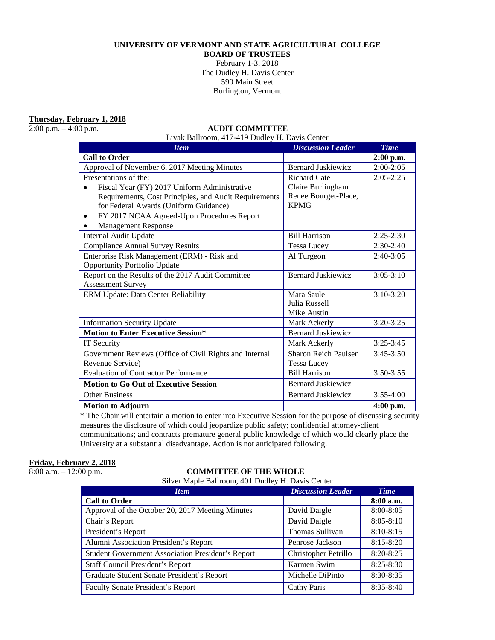## **UNIVERSITY OF VERMONT AND STATE AGRICULTURAL COLLEGE**

**BOARD OF TRUSTEES**

February 1-3, 2018 The Dudley H. Davis Center 590 Main Street Burlington, Vermont

**Thursday, February 1, 2018**

### 2:00 p.m. – 4:00 p.m. **AUDIT COMMITTEE**

Livak Ballroom, 417-419 Dudley H. Davis Center

| <b>Item</b>                                             | <b>Discussion Leader</b>  | <b>Time</b>   |
|---------------------------------------------------------|---------------------------|---------------|
| <b>Call to Order</b>                                    |                           | $2:00$ p.m.   |
| Approval of November 6, 2017 Meeting Minutes            | <b>Bernard Juskiewicz</b> | $2:00-2:05$   |
| Presentations of the:                                   | <b>Richard Cate</b>       | $2:05 - 2:25$ |
| Fiscal Year (FY) 2017 Uniform Administrative            | Claire Burlingham         |               |
| Requirements, Cost Principles, and Audit Requirements   | Renee Bourget-Place,      |               |
| for Federal Awards (Uniform Guidance)                   | <b>KPMG</b>               |               |
| FY 2017 NCAA Agreed-Upon Procedures Report<br>٠         |                           |               |
| <b>Management Response</b>                              |                           |               |
| Internal Audit Update                                   | <b>Bill Harrison</b>      | $2:25-2:30$   |
| <b>Compliance Annual Survey Results</b>                 | <b>Tessa Lucev</b>        | $2:30-2:40$   |
| Enterprise Risk Management (ERM) - Risk and             | Al Turgeon                | $2:40-3:05$   |
| <b>Opportunity Portfolio Update</b>                     |                           |               |
| Report on the Results of the 2017 Audit Committee       | <b>Bernard Juskiewicz</b> | $3:05-3:10$   |
| <b>Assessment Survey</b>                                |                           |               |
| ERM Update: Data Center Reliability                     | Mara Saule                | $3:10-3:20$   |
|                                                         | Julia Russell             |               |
|                                                         | Mike Austin               |               |
| <b>Information Security Update</b>                      | Mark Ackerly              | $3:20-3:25$   |
| <b>Motion to Enter Executive Session*</b>               | <b>Bernard Juskiewicz</b> |               |
| IT Security                                             | Mark Ackerly              | $3:25-3:45$   |
| Government Reviews (Office of Civil Rights and Internal | Sharon Reich Paulsen      | $3:45-3:50$   |
| Revenue Service)                                        | <b>Tessa Lucey</b>        |               |
| <b>Evaluation of Contractor Performance</b>             | <b>Bill Harrison</b>      | $3:50 - 3:55$ |
| <b>Motion to Go Out of Executive Session</b>            | <b>Bernard Juskiewicz</b> |               |
| <b>Other Business</b>                                   | <b>Bernard Juskiewicz</b> | $3:55-4:00$   |
| <b>Motion to Adjourn</b>                                |                           | $4:00$ p.m.   |

\* The Chair will entertain a motion to enter into Executive Session for the purpose of discussing security measures the disclosure of which could jeopardize public safety; confidential attorney-client communications; and contracts premature general public knowledge of which would clearly place the University at a substantial disadvantage. Action is not anticipated following.

## **Friday, February 2, 2018**

# 8:00 a.m. – 12:00 p.m. **COMMITTEE OF THE WHOLE**

Silver Maple Ballroom, 401 Dudley H. Davis Center

| <b>Item</b>                                              | <b>Discussion Leader</b> | <b>Time</b>   |
|----------------------------------------------------------|--------------------------|---------------|
| <b>Call to Order</b>                                     |                          | $8:00$ a.m.   |
| Approval of the October 20, 2017 Meeting Minutes         | David Daigle             | 8:00-8:05     |
| Chair's Report                                           | David Daigle             | $8:05 - 8:10$ |
| President's Report                                       | Thomas Sullivan          | $8:10-8:15$   |
| Alumni Association President's Report                    | Penrose Jackson          | $8:15 - 8:20$ |
| <b>Student Government Association President's Report</b> | Christopher Petrillo     | $8:20 - 8:25$ |
| <b>Staff Council President's Report</b>                  | Karmen Swim              | $8:25 - 8:30$ |
| Graduate Student Senate President's Report               | Michelle DiPinto         | $8:30 - 8:35$ |
| <b>Faculty Senate President's Report</b>                 | Cathy Paris              | $8:35 - 8:40$ |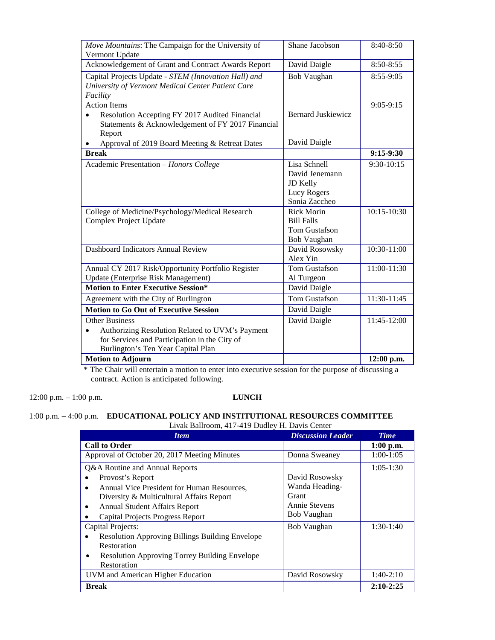| Move Mountains: The Campaign for the University of           | Shane Jacobson            | 8:40-8:50   |
|--------------------------------------------------------------|---------------------------|-------------|
| Vermont Update                                               |                           |             |
| Acknowledgement of Grant and Contract Awards Report          | David Daigle              | 8:50-8:55   |
| Capital Projects Update - STEM (Innovation Hall) and         | <b>Bob Vaughan</b>        | 8:55-9:05   |
| University of Vermont Medical Center Patient Care            |                           |             |
| Facility                                                     |                           |             |
| <b>Action Items</b>                                          |                           | $9:05-9:15$ |
| Resolution Accepting FY 2017 Audited Financial               | <b>Bernard Juskiewicz</b> |             |
| Statements & Acknowledgement of FY 2017 Financial            |                           |             |
| Report                                                       |                           |             |
| Approval of 2019 Board Meeting & Retreat Dates               | David Daigle              |             |
| <b>Break</b>                                                 |                           | $9:15-9:30$ |
| Academic Presentation - Honors College                       | Lisa Schnell              | 9:30-10:15  |
|                                                              | David Jenemann            |             |
|                                                              | JD Kelly                  |             |
|                                                              | Lucy Rogers               |             |
|                                                              | Sonia Zaccheo             |             |
| College of Medicine/Psychology/Medical Research              | <b>Rick Morin</b>         | 10:15-10:30 |
| Complex Project Update                                       | <b>Bill Falls</b>         |             |
|                                                              | Tom Gustafson             |             |
|                                                              | Bob Vaughan               |             |
| <b>Dashboard Indicators Annual Review</b>                    | David Rosowsky            | 10:30-11:00 |
|                                                              | Alex Yin                  |             |
| Annual CY 2017 Risk/Opportunity Portfolio Register           | <b>Tom Gustafson</b>      | 11:00-11:30 |
| <b>Update (Enterprise Risk Management)</b>                   | Al Turgeon                |             |
| <b>Motion to Enter Executive Session*</b>                    | David Daigle              |             |
| Agreement with the City of Burlington                        | <b>Tom Gustafson</b>      | 11:30-11:45 |
| <b>Motion to Go Out of Executive Session</b>                 | David Daigle              |             |
| <b>Other Business</b>                                        | David Daigle              | 11:45-12:00 |
| Authorizing Resolution Related to UVM's Payment<br>$\bullet$ |                           |             |
| for Services and Participation in the City of                |                           |             |
| Burlington's Ten Year Capital Plan                           |                           |             |
| <b>Motion to Adjourn</b>                                     |                           | 12:00 p.m.  |

\* The Chair will entertain a motion to enter into executive session for the purpose of discussing a contract. Action is anticipated following.

12:00 p.m. – 1:00 p.m. **LUNCH**

#### 1:00 p.m. – 4:00 p.m. **EDUCATIONAL POLICY AND INSTITUTIONAL RESOURCES COMMITTEE**  Livak Ballroom, 417-419 Dudley H. Davis Center

| <b>Item</b>                                                                                                                                                                                                              | <b>Discussion Leader</b>                                                  | <b>Time</b> |
|--------------------------------------------------------------------------------------------------------------------------------------------------------------------------------------------------------------------------|---------------------------------------------------------------------------|-------------|
| <b>Call to Order</b>                                                                                                                                                                                                     |                                                                           | $1:00$ p.m. |
| Approval of October 20, 2017 Meeting Minutes                                                                                                                                                                             | Donna Sweaney                                                             | $1:00-1:05$ |
| Q&A Routine and Annual Reports<br>Provost's Report<br>Annual Vice President for Human Resources,<br>Diversity & Multicultural Affairs Report<br><b>Annual Student Affairs Report</b><br>Capital Projects Progress Report | David Rosowsky<br>Wanda Heading-<br>Grant<br>Annie Stevens<br>Bob Vaughan | $1:05-1:30$ |
| Capital Projects:<br><b>Resolution Approving Billings Building Envelope</b><br>Restoration<br><b>Resolution Approving Torrey Building Envelope</b><br>Restoration                                                        | <b>Bob Vaughan</b>                                                        | $1:30-1:40$ |
| UVM and American Higher Education                                                                                                                                                                                        | David Rosowsky                                                            | $1:40-2:10$ |
| Break                                                                                                                                                                                                                    |                                                                           | $2:10-2:25$ |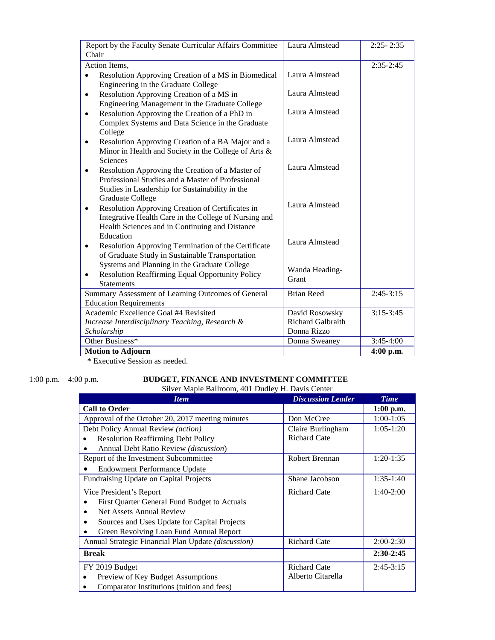| Report by the Faculty Senate Curricular Affairs Committee           | Laura Almstead    | $2:25 - 2:35$ |
|---------------------------------------------------------------------|-------------------|---------------|
| Chair                                                               |                   |               |
| <b>Action Items.</b>                                                |                   | $2:35-2:45$   |
| Resolution Approving Creation of a MS in Biomedical<br>$\bullet$    | Laura Almstead    |               |
| Engineering in the Graduate College                                 |                   |               |
| Resolution Approving Creation of a MS in<br>$\bullet$               | Laura Almstead    |               |
| Engineering Management in the Graduate College                      |                   |               |
| Resolution Approving the Creation of a PhD in<br>$\bullet$          | Laura Almstead    |               |
| Complex Systems and Data Science in the Graduate                    |                   |               |
| College                                                             |                   |               |
| Resolution Approving Creation of a BA Major and a<br>$\bullet$      | Laura Almstead    |               |
| Minor in Health and Society in the College of Arts &                |                   |               |
| Sciences                                                            |                   |               |
| Resolution Approving the Creation of a Master of<br>$\bullet$       | Laura Almstead    |               |
| Professional Studies and a Master of Professional                   |                   |               |
| Studies in Leadership for Sustainability in the                     |                   |               |
| <b>Graduate College</b>                                             | Laura Almstead    |               |
| Resolution Approving Creation of Certificates in<br>$\bullet$       |                   |               |
| Integrative Health Care in the College of Nursing and               |                   |               |
| Health Sciences and in Continuing and Distance                      |                   |               |
| Education                                                           | Laura Almstead    |               |
| Resolution Approving Termination of the Certificate                 |                   |               |
| of Graduate Study in Sustainable Transportation                     |                   |               |
| Systems and Planning in the Graduate College                        | Wanda Heading-    |               |
| <b>Resolution Reaffirming Equal Opportunity Policy</b><br>$\bullet$ | Grant             |               |
| <b>Statements</b>                                                   |                   |               |
| Summary Assessment of Learning Outcomes of General                  | <b>Brian Reed</b> | $2:45-3:15$   |
| <b>Education Requirements</b>                                       |                   |               |
| Academic Excellence Goal #4 Revisited                               | David Rosowsky    | $3:15-3:45$   |
| Increase Interdisciplinary Teaching, Research &                     | Richard Galbraith |               |
| Scholarship                                                         | Donna Rizzo       |               |
| Other Business*                                                     | Donna Sweaney     | $3:45-4:00$   |
| <b>Motion to Adjourn</b>                                            |                   | $4:00$ p.m.   |

\* Executive Session as needed.

## 1:00 p.m. – 4:00 p.m. **BUDGET, FINANCE AND INVESTMENT COMMITTEE**

Silver Maple Ballroom, 401 Dudley H. Davis Center

| <b>Item</b>                                         | <b>Discussion Leader</b> | <b>Time</b> |
|-----------------------------------------------------|--------------------------|-------------|
| <b>Call to Order</b>                                |                          | $1:00$ p.m. |
| Approval of the October 20, 2017 meeting minutes    | Don McCree               | $1:00-1:05$ |
| Debt Policy Annual Review (action)                  | Claire Burlingham        | $1:05-1:20$ |
| <b>Resolution Reaffirming Debt Policy</b>           | <b>Richard Cate</b>      |             |
| Annual Debt Ratio Review (discussion)               |                          |             |
| Report of the Investment Subcommittee               | <b>Robert Brennan</b>    | $1:20-1:35$ |
| <b>Endowment Performance Update</b>                 |                          |             |
| Fundraising Update on Capital Projects              | Shane Jacobson           | $1:35-1:40$ |
| Vice President's Report                             | <b>Richard Cate</b>      | $1:40-2:00$ |
| First Quarter General Fund Budget to Actuals        |                          |             |
| Net Assets Annual Review<br>$\bullet$               |                          |             |
| Sources and Uses Update for Capital Projects<br>٠   |                          |             |
| Green Revolving Loan Fund Annual Report             |                          |             |
| Annual Strategic Financial Plan Update (discussion) | <b>Richard Cate</b>      | $2:00-2:30$ |
| <b>Break</b>                                        |                          | $2:30-2:45$ |
| FY 2019 Budget                                      | <b>Richard Cate</b>      | $2:45-3:15$ |
| Preview of Key Budget Assumptions<br>$\bullet$      | Alberto Citarella        |             |
| Comparator Institutions (tuition and fees)          |                          |             |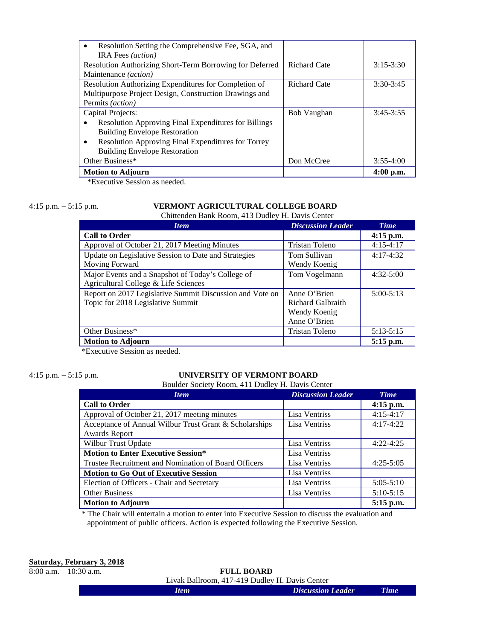| Resolution Setting the Comprehensive Fee, SGA, and              |                     |             |
|-----------------------------------------------------------------|---------------------|-------------|
| <b>IRA</b> Fees <i>(action)</i>                                 |                     |             |
| Resolution Authorizing Short-Term Borrowing for Deferred        | <b>Richard Cate</b> | $3:15-3:30$ |
| Maintenance <i>(action)</i>                                     |                     |             |
| Resolution Authorizing Expenditures for Completion of           | Richard Cate        | $3:30-3:45$ |
| Multipurpose Project Design, Construction Drawings and          |                     |             |
| Permits (action)                                                |                     |             |
| Capital Projects:                                               | Bob Vaughan         | $3:45-3:55$ |
| Resolution Approving Final Expenditures for Billings            |                     |             |
| <b>Building Envelope Restoration</b>                            |                     |             |
| Resolution Approving Final Expenditures for Torrey<br>$\bullet$ |                     |             |
| <b>Building Envelope Restoration</b>                            |                     |             |
| Other Business*                                                 | Don McCree          | $3:55-4:00$ |
| <b>Motion to Adjourn</b>                                        |                     | $4:00$ p.m. |

\*Executive Session as needed.

## 4:15 p.m. – 5:15 p.m. **VERMONT AGRICULTURAL COLLEGE BOARD**

Chittenden Bank Room, 413 Dudley H. Davis Center

| <b>Item</b>                                              | <b>Discussion Leader</b> | <b>Time</b> |
|----------------------------------------------------------|--------------------------|-------------|
| <b>Call to Order</b>                                     |                          | $4:15$ p.m. |
| Approval of October 21, 2017 Meeting Minutes             | Tristan Toleno           | $4:15-4:17$ |
| Update on Legislative Session to Date and Strategies     | Tom Sullivan             | $4:17-4:32$ |
| Moving Forward                                           | Wendy Koenig             |             |
| Major Events and a Snapshot of Today's College of        | Tom Vogelmann            | $4:32-5:00$ |
| Agricultural College & Life Sciences                     |                          |             |
| Report on 2017 Legislative Summit Discussion and Vote on | Anne O'Brien             | $5:00-5:13$ |
| Topic for 2018 Legislative Summit                        | <b>Richard Galbraith</b> |             |
|                                                          | Wendy Koenig             |             |
|                                                          | Anne O'Brien             |             |
| Other Business*                                          | <b>Tristan Toleno</b>    | $5:13-5:15$ |
| <b>Motion to Adjourn</b>                                 |                          | 5:15 p.m.   |

\*Executive Session as needed.

## 4:15 p.m. – 5:15 p.m. **UNIVERSITY OF VERMONT BOARD**

Boulder Society Room, 411 Dudley H. Davis Center

| <b>Item</b>                                            | <b>Discussion Leader</b> | <b>Time</b> |
|--------------------------------------------------------|--------------------------|-------------|
| <b>Call to Order</b>                                   |                          | $4:15$ p.m. |
| Approval of October 21, 2017 meeting minutes           | Lisa Ventriss            | $4:15-4:17$ |
| Acceptance of Annual Wilbur Trust Grant & Scholarships | Lisa Ventriss            | $4:17-4:22$ |
| Awards Report                                          |                          |             |
| Wilbur Trust Update                                    | Lisa Ventriss            | $4:22-4:25$ |
| <b>Motion to Enter Executive Session*</b>              | Lisa Ventriss            |             |
| Trustee Recruitment and Nomination of Board Officers   | Lisa Ventriss            | $4:25-5:05$ |
| <b>Motion to Go Out of Executive Session</b>           | Lisa Ventriss            |             |
| Election of Officers - Chair and Secretary             | Lisa Ventriss            | $5:05-5:10$ |
| <b>Other Business</b>                                  | Lisa Ventriss            | $5:10-5:15$ |
| <b>Motion to Adjourn</b>                               |                          | 5:15 p.m.   |

\* The Chair will entertain a motion to enter into Executive Session to discuss the evaluation and appointment of public officers. Action is expected following the Executive Session.

### 8:00 a.m. – 10:30 a.m. **FULL BOARD** Livak Ballroom, 417-419 Dudley H. Davis Center

| Livan Dallibolli, 417-419 Dudiey II. Davis Center |      |                          |             |
|---------------------------------------------------|------|--------------------------|-------------|
|                                                   | Item | <b>Discussion Leader</b> | <b>Time</b> |
|                                                   |      |                          |             |